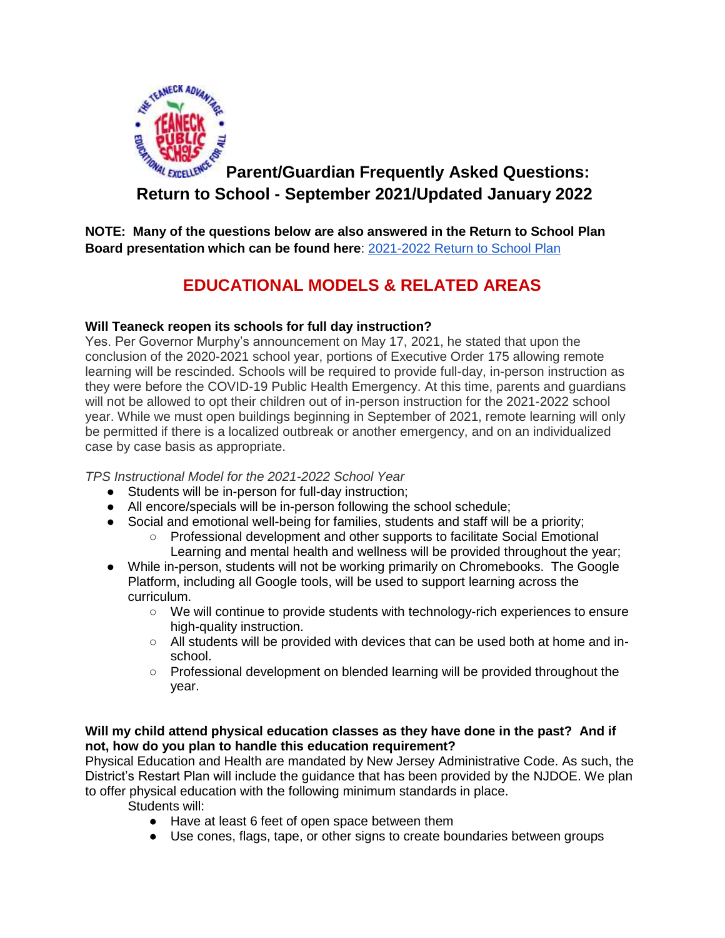

# **Parent/Guardian Frequently Asked Questions: Return to School - September 2021/Updated January 2022**

**NOTE: Many of the questions below are also answered in the Return to School Plan Board presentation which can be found here**: [2021-2022 Return to School Plan](https://www.teaneckschools.org/Downloads/Return%20to%20School%20Plan%202021.pdf)

# **EDUCATIONAL MODELS & RELATED AREAS**

## **Will Teaneck reopen its schools for full day instruction?**

Yes. Per Governor Murphy's announcement on May 17, 2021, he stated that upon the conclusion of the 2020-2021 school year, portions of Executive Order 175 allowing remote learning will be rescinded. Schools will be required to provide full-day, in-person instruction as they were before the COVID-19 Public Health Emergency. At this time, parents and guardians will not be allowed to opt their children out of in-person instruction for the 2021-2022 school year. While we must open buildings beginning in September of 2021, remote learning will only be permitted if there is a localized outbreak or another emergency, and on an individualized case by case basis as appropriate.

*TPS Instructional Model for the 2021-2022 School Year*

- Students will be in-person for full-day instruction;
- All encore/specials will be in-person following the school schedule;
- Social and emotional well-being for families, students and staff will be a priority;
	- Professional development and other supports to facilitate Social Emotional Learning and mental health and wellness will be provided throughout the year;
- While in-person, students will not be working primarily on Chromebooks. The Google Platform, including all Google tools, will be used to support learning across the curriculum.
	- We will continue to provide students with technology-rich experiences to ensure high-quality instruction.
	- $\circ$  All students will be provided with devices that can be used both at home and inschool.
	- Professional development on blended learning will be provided throughout the year.

## **Will my child attend physical education classes as they have done in the past? And if not, how do you plan to handle this education requirement?**

Physical Education and Health are mandated by New Jersey Administrative Code. As such, the District's Restart Plan will include the guidance that has been provided by the NJDOE. We plan to offer physical education with the following minimum standards in place.

Students will:

- Have at least 6 feet of open space between them
- Use cones, flags, tape, or other signs to create boundaries between groups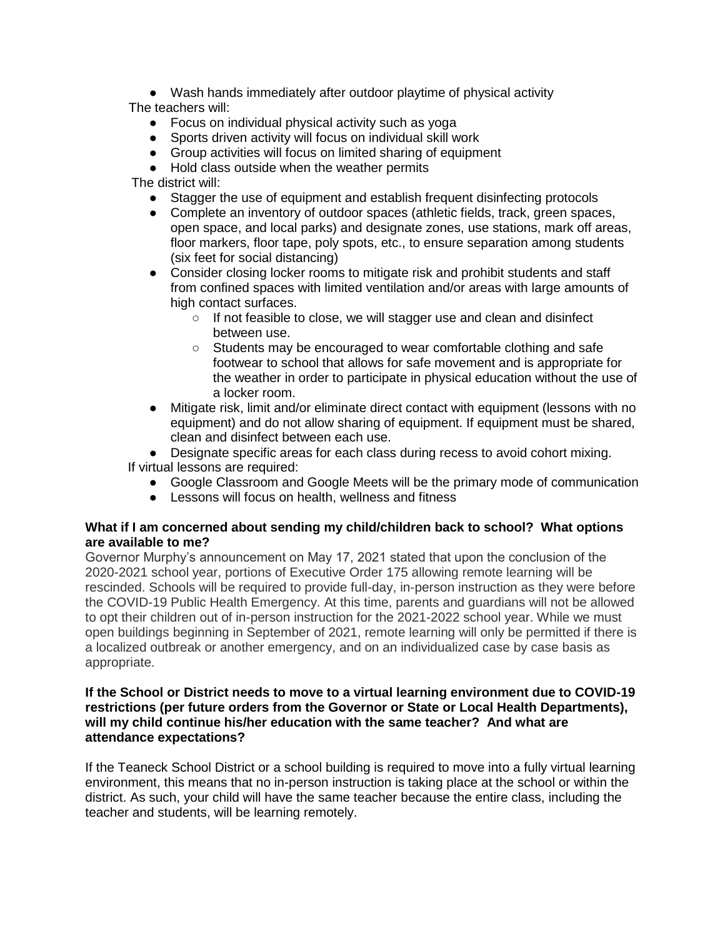● Wash hands immediately after outdoor playtime of physical activity The teachers will:

- Focus on individual physical activity such as yoga
- Sports driven activity will focus on individual skill work
- Group activities will focus on limited sharing of equipment
- Hold class outside when the weather permits

The district will:

- Stagger the use of equipment and establish frequent disinfecting protocols
- Complete an inventory of outdoor spaces (athletic fields, track, green spaces, open space, and local parks) and designate zones, use stations, mark off areas, floor markers, floor tape, poly spots, etc., to ensure separation among students (six feet for social distancing)
- Consider closing locker rooms to mitigate risk and prohibit students and staff from confined spaces with limited ventilation and/or areas with large amounts of high contact surfaces.
	- If not feasible to close, we will stagger use and clean and disinfect between use.
	- Students may be encouraged to wear comfortable clothing and safe footwear to school that allows for safe movement and is appropriate for the weather in order to participate in physical education without the use of a locker room.
- Mitigate risk, limit and/or eliminate direct contact with equipment (lessons with no equipment) and do not allow sharing of equipment. If equipment must be shared, clean and disinfect between each use.

• Designate specific areas for each class during recess to avoid cohort mixing. If virtual lessons are required:

- Google Classroom and Google Meets will be the primary mode of communication
- Lessons will focus on health, wellness and fitness

## **What if I am concerned about sending my child/children back to school? What options are available to me?**

Governor Murphy's announcement on May 17, 2021 stated that upon the conclusion of the 2020-2021 school year, portions of Executive Order 175 allowing remote learning will be rescinded. Schools will be required to provide full-day, in-person instruction as they were before the COVID-19 Public Health Emergency. At this time, parents and guardians will not be allowed to opt their children out of in-person instruction for the 2021-2022 school year. While we must open buildings beginning in September of 2021, remote learning will only be permitted if there is a localized outbreak or another emergency, and on an individualized case by case basis as appropriate.

#### **If the School or District needs to move to a virtual learning environment due to COVID-19 restrictions (per future orders from the Governor or State or Local Health Departments), will my child continue his/her education with the same teacher? And what are attendance expectations?**

If the Teaneck School District or a school building is required to move into a fully virtual learning environment, this means that no in-person instruction is taking place at the school or within the district. As such, your child will have the same teacher because the entire class, including the teacher and students, will be learning remotely.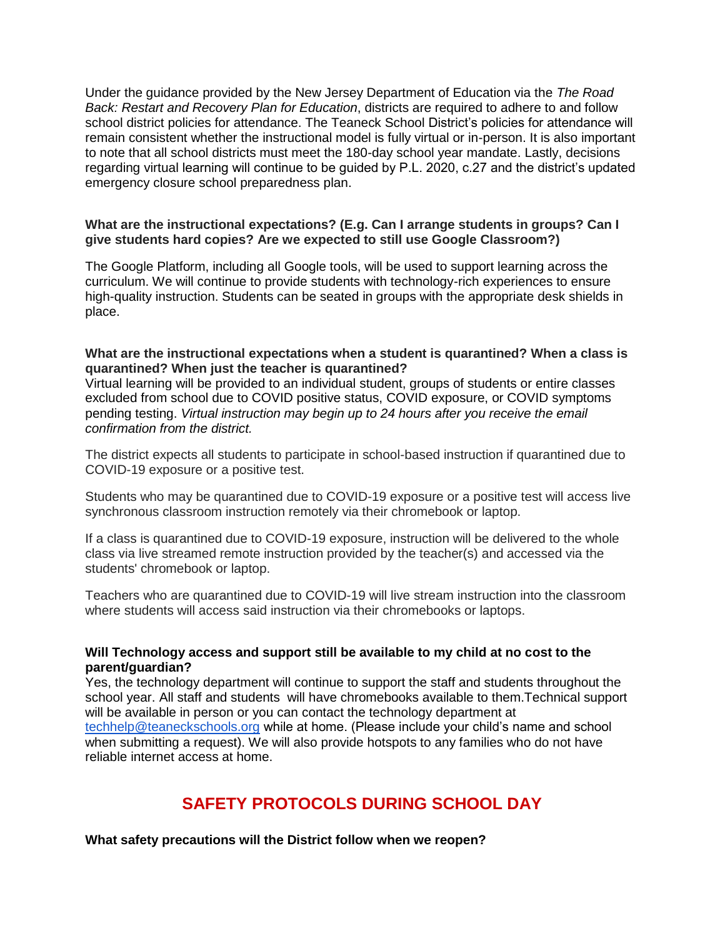Under the guidance provided by the New Jersey Department of Education via the *The Road Back: Restart and Recovery Plan for Education*, districts are required to adhere to and follow school district policies for attendance. The Teaneck School District's policies for attendance will remain consistent whether the instructional model is fully virtual or in-person. It is also important to note that all school districts must meet the 180-day school year mandate. Lastly, decisions regarding virtual learning will continue to be guided by P.L. 2020, c.27 and the district's updated emergency closure school preparedness plan.

#### **What are the instructional expectations? (E.g. Can I arrange students in groups? Can I give students hard copies? Are we expected to still use Google Classroom?)**

The Google Platform, including all Google tools, will be used to support learning across the curriculum. We will continue to provide students with technology-rich experiences to ensure high-quality instruction. Students can be seated in groups with the appropriate desk shields in place.

#### **What are the instructional expectations when a student is quarantined? When a class is quarantined? When just the teacher is quarantined?**

Virtual learning will be provided to an individual student, groups of students or entire classes excluded from school due to COVID positive status, COVID exposure, or COVID symptoms pending testing. *Virtual instruction may begin up to 24 hours after you receive the email confirmation from the district.*

The district expects all students to participate in school-based instruction if quarantined due to COVID-19 exposure or a positive test.

Students who may be quarantined due to COVID-19 exposure or a positive test will access live synchronous classroom instruction remotely via their chromebook or laptop.

If a class is quarantined due to COVID-19 exposure, instruction will be delivered to the whole class via live streamed remote instruction provided by the teacher(s) and accessed via the students' chromebook or laptop.

Teachers who are quarantined due to COVID-19 will live stream instruction into the classroom where students will access said instruction via their chromebooks or laptops.

#### **Will Technology access and support still be available to my child at no cost to the parent/guardian?**

Yes, the technology department will continue to support the staff and students throughout the school year. All staff and students will have chromebooks available to them.Technical support will be available in person or you can contact the technology department at [techhelp@teaneckschools.org](mailto:techhelp@teaneckschools.org) while at home. (Please include your child's name and school when submitting a request). We will also provide hotspots to any families who do not have reliable internet access at home.

## **SAFETY PROTOCOLS DURING SCHOOL DAY**

**What safety precautions will the District follow when we reopen?**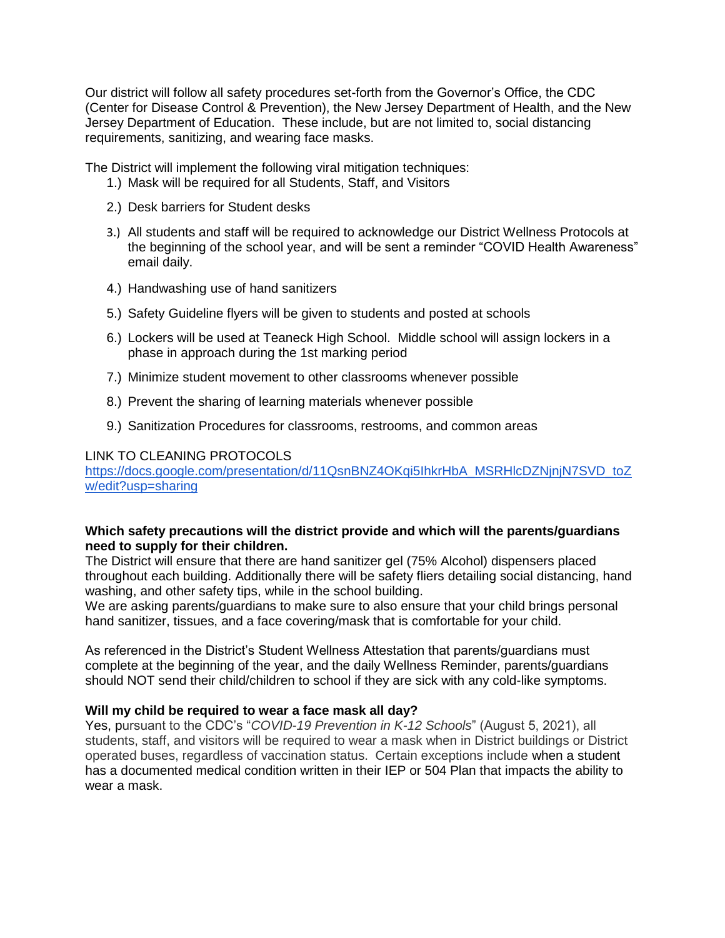Our district will follow all safety procedures set-forth from the Governor's Office, the CDC (Center for Disease Control & Prevention), the New Jersey Department of Health, and the New Jersey Department of Education. These include, but are not limited to, social distancing requirements, sanitizing, and wearing face masks.

The District will implement the following viral mitigation techniques:

- 1.) Mask will be required for all Students, Staff, and Visitors
- 2.) Desk barriers for Student desks
- 3.) All students and staff will be required to acknowledge our District Wellness Protocols at the beginning of the school year, and will be sent a reminder "COVID Health Awareness" email daily.
- 4.) Handwashing use of hand sanitizers
- 5.) Safety Guideline flyers will be given to students and posted at schools
- 6.) Lockers will be used at Teaneck High School. Middle school will assign lockers in a phase in approach during the 1st marking period
- 7.) Minimize student movement to other classrooms whenever possible
- 8.) Prevent the sharing of learning materials whenever possible
- 9.) Sanitization Procedures for classrooms, restrooms, and common areas

#### LINK TO CLEANING PROTOCOLS

https://docs.google.com/presentation/d/11QsnBNZ4OKgi5IhkrHbA\_MSRHlcDZNjnjN7SVD\_toZ [w/edit?usp=sharing](https://docs.google.com/presentation/d/11QsnBNZ4OKqi5IhkrHbA_MSRHlcDZNjnjN7SVD_toZw/edit?usp=sharing)

#### **Which safety precautions will the district provide and which will the parents/guardians need to supply for their children.**

The District will ensure that there are hand sanitizer gel (75% Alcohol) dispensers placed throughout each building. Additionally there will be safety fliers detailing social distancing, hand washing, and other safety tips, while in the school building.

We are asking parents/guardians to make sure to also ensure that your child brings personal hand sanitizer, tissues, and a face covering/mask that is comfortable for your child.

As referenced in the District's Student Wellness Attestation that parents/guardians must complete at the beginning of the year, and the daily Wellness Reminder, parents/guardians should NOT send their child/children to school if they are sick with any cold-like symptoms.

## **Will my child be required to wear a face mask all day?**

Yes, pursuant to the CDC's "*COVID-19 Prevention in K-12 Schools*" (August 5, 2021), all students, staff, and visitors will be required to wear a mask when in District buildings or District operated buses, regardless of vaccination status. Certain exceptions include when a student has a documented medical condition written in their IEP or 504 Plan that impacts the ability to wear a mask.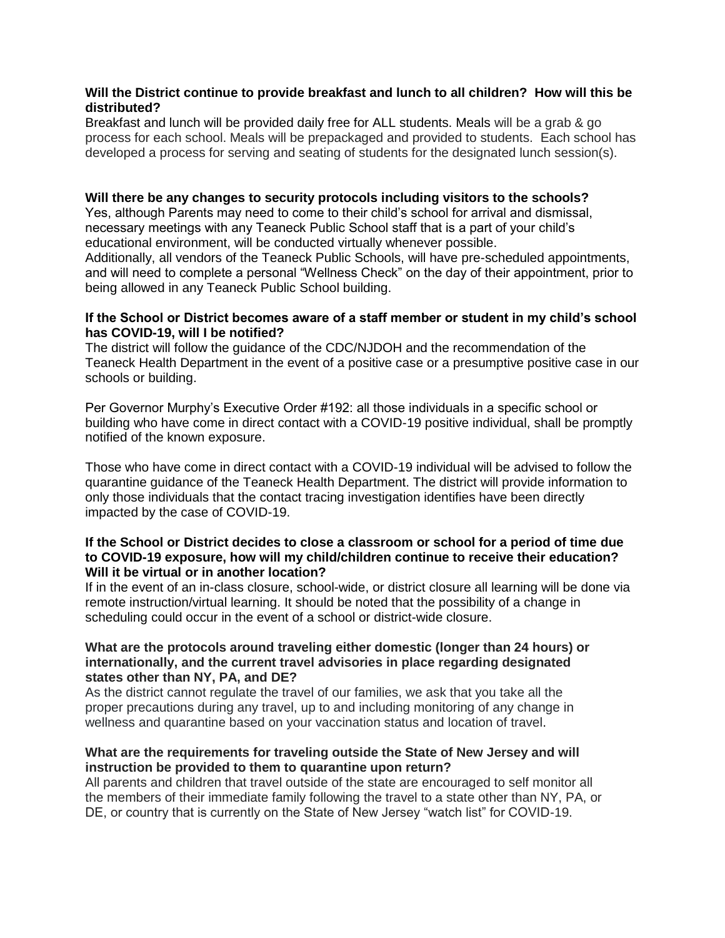#### **Will the District continue to provide breakfast and lunch to all children? How will this be distributed?**

Breakfast and lunch will be provided daily free for ALL students. Meals will be a grab & go process for each school. Meals will be prepackaged and provided to students. Each school has developed a process for serving and seating of students for the designated lunch session(s).

#### **Will there be any changes to security protocols including visitors to the schools?**

Yes, although Parents may need to come to their child's school for arrival and dismissal, necessary meetings with any Teaneck Public School staff that is a part of your child's educational environment, will be conducted virtually whenever possible.

Additionally, all vendors of the Teaneck Public Schools, will have pre-scheduled appointments, and will need to complete a personal "Wellness Check" on the day of their appointment, prior to being allowed in any Teaneck Public School building.

#### **If the School or District becomes aware of a staff member or student in my child's school has COVID-19, will I be notified?**

The district will follow the guidance of the CDC/NJDOH and the recommendation of the Teaneck Health Department in the event of a positive case or a presumptive positive case in our schools or building.

Per Governor Murphy's Executive Order #192: all those individuals in a specific school or building who have come in direct contact with a COVID-19 positive individual, shall be promptly notified of the known exposure.

Those who have come in direct contact with a COVID-19 individual will be advised to follow the quarantine guidance of the Teaneck Health Department. The district will provide information to only those individuals that the contact tracing investigation identifies have been directly impacted by the case of COVID-19.

#### **If the School or District decides to close a classroom or school for a period of time due to COVID-19 exposure, how will my child/children continue to receive their education? Will it be virtual or in another location?**

If in the event of an in-class closure, school-wide, or district closure all learning will be done via remote instruction/virtual learning. It should be noted that the possibility of a change in scheduling could occur in the event of a school or district-wide closure.

#### **What are the protocols around traveling either domestic (longer than 24 hours) or internationally, and the current travel advisories in place regarding designated states other than NY, PA, and DE?**

As the district cannot regulate the travel of our families, we ask that you take all the proper precautions during any travel, up to and including monitoring of any change in wellness and quarantine based on your vaccination status and location of travel.

## **What are the requirements for traveling outside the State of New Jersey and will instruction be provided to them to quarantine upon return?**

All parents and children that travel outside of the state are encouraged to self monitor all the members of their immediate family following the travel to a state other than NY, PA, or DE, or country that is currently on the State of New Jersey "watch list" for COVID-19.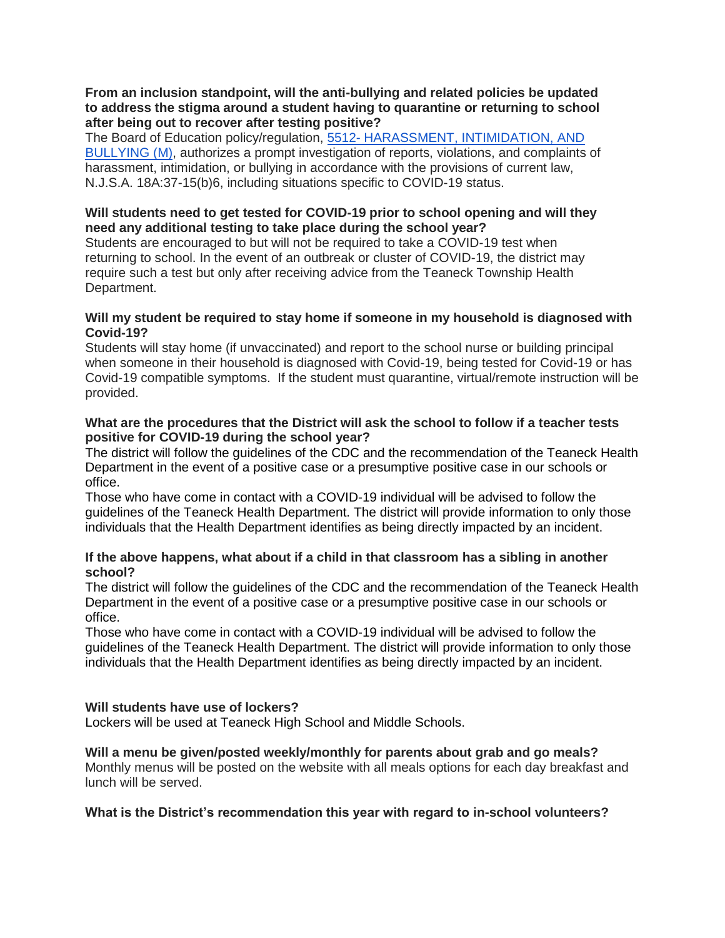#### **From an inclusion standpoint, will the anti-bullying and related policies be updated to address the stigma around a student having to quarantine or returning to school after being out to recover after testing positive?**

The Board of Education policy/regulation, 5512- HARASSMENT, INTIMIDATION, AND [BULLYING \(M\),](https://www.straussesmay.com/seportal/Public/DistrictPolicy.aspx?policyid=5512&search=Anti-Bullying&id=7da42070a501409683bdce41bdcbaaff) authorizes a prompt investigation of reports, violations, and complaints of harassment, intimidation, or bullying in accordance with the provisions of current law, N.J.S.A. 18A:37-15(b)6, including situations specific to COVID-19 status.

## **Will students need to get tested for COVID-19 prior to school opening and will they need any additional testing to take place during the school year?**

Students are encouraged to but will not be required to take a COVID-19 test when returning to school. In the event of an outbreak or cluster of COVID-19, the district may require such a test but only after receiving advice from the Teaneck Township Health Department.

#### **Will my student be required to stay home if someone in my household is diagnosed with Covid-19?**

Students will stay home (if unvaccinated) and report to the school nurse or building principal when someone in their household is diagnosed with Covid-19, being tested for Covid-19 or has Covid-19 compatible symptoms. If the student must quarantine, virtual/remote instruction will be provided.

#### **What are the procedures that the District will ask the school to follow if a teacher tests positive for COVID-19 during the school year?**

The district will follow the guidelines of the CDC and the recommendation of the Teaneck Health Department in the event of a positive case or a presumptive positive case in our schools or office.

Those who have come in contact with a COVID-19 individual will be advised to follow the guidelines of the Teaneck Health Department. The district will provide information to only those individuals that the Health Department identifies as being directly impacted by an incident.

## **If the above happens, what about if a child in that classroom has a sibling in another school?**

The district will follow the guidelines of the CDC and the recommendation of the Teaneck Health Department in the event of a positive case or a presumptive positive case in our schools or office.

Those who have come in contact with a COVID-19 individual will be advised to follow the guidelines of the Teaneck Health Department. The district will provide information to only those individuals that the Health Department identifies as being directly impacted by an incident.

## **Will students have use of lockers?**

Lockers will be used at Teaneck High School and Middle Schools.

## **Will a menu be given/posted weekly/monthly for parents about grab and go meals?**

Monthly menus will be posted on the website with all meals options for each day breakfast and lunch will be served.

## **What is the District's recommendation this year with regard to in-school volunteers?**